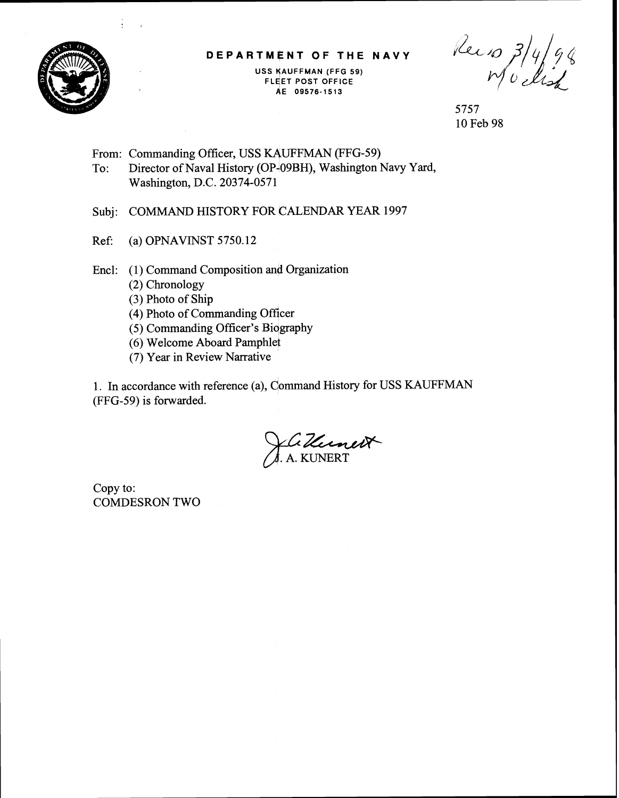

#### **DEPARTMENT OF THE NAVY**

**USS YAUFFMAN (FFG 59) FLEET POST OFFICE AE 09576-1513** 

Reio 3/4/98

5757 10 Feb 98

From: Commanding Officer, USS KAUFFMAN (FFG-59) To: Director of Naval History (OP+09BH), Washington Navy Yard, Washington, D.C. 20374-0571

Subj: COMMAND HISTORY FOR CALENDAR YEAR 1997

Ref: (a) OPNAVINST  $5750.12$ 

Encl: (1) Command Composition and Organization

- (2) Chronology
- **(3)** Photo of Ship
- (4) Photo of Commanding officer
- (5) Commanding Officer's Biqgraphy
- (6) Welcome Aboard Pamphlet
- (7) Year in Review Narrative

1. In accordance with reference (a), Command History for USS KAUFFMAN (FFG-59) is forwarded.

*Z-eR-* . A. KUNERT

Copy to: COMDESRON TWO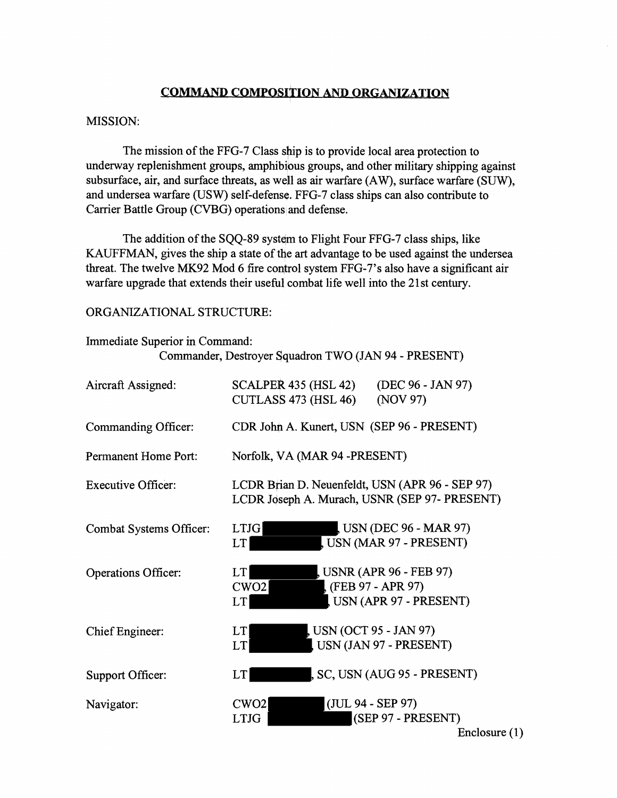# **COMMAND COMPOSITION AND ORGANIZATION**

### MISSION:

The mission of the FFG-7 Class ship is to provide local area protection to underway replenishment groups, amphibious groups, and other military shipping against subsurface, air, and surface threats, as well as air warfare (AW), surface warfare (SUW), and undersea warfare (USW) self-defense. FFG-7 class ships can also contribute to Carrier Battle Group (CVBG) operations and defense.

The addition of the SQQ-89 system to Flight Four FFG-7 class ships, like KAUFFMAN, gives the ship a state of the art advantage to be used against the undersea threat. The twelve MK92 Mod 6 fire control system FFG-7's also have a significant air warfare upgrade that extends their useful combat life well into the 21st century.

### ORGANIZATIONAL STRUCTURE:

## Immediate Superior in Command: Commander, Destroyer Squadron TWO (JAN 94 - PRESENT)

| Aircraft Assigned:        | SCALPER 435 (HSL 42)<br>(DEC 96 - JAN 97)<br><b>CUTLASS 473 (HSL 46)</b><br>(NOV 97)                                |  |  |
|---------------------------|---------------------------------------------------------------------------------------------------------------------|--|--|
| Commanding Officer:       | CDR John A. Kunert, USN (SEP 96 - PRESENT)                                                                          |  |  |
| Permanent Home Port:      | Norfolk, VA (MAR 94 -PRESENT)                                                                                       |  |  |
| <b>Executive Officer:</b> | LCDR Brian D. Neuenfeldt, USN (APR 96 - SEP 97)<br>LCDR Joseph A. Murach, USNR (SEP 97- PRESENT)                    |  |  |
| Combat Systems Officer:   | , USN (DEC 96 - MAR 97)<br><b>LTJG</b><br>USN (MAR 97 - PRESENT)<br>LT                                              |  |  |
| Operations Officer:       | USNR (APR 96 - FEB 97)<br><b>LT</b><br>(FEB 97 - APR 97)<br>CWO <sub>2</sub><br>USN (APR 97 - PRESENT)<br><b>LT</b> |  |  |
| Chief Engineer:           | , USN (OCT 95 - JAN 97)<br><b>LT</b><br>USN (JAN 97 - PRESENT)<br>LT                                                |  |  |
| Support Officer:          | , SC, USN (AUG 95 - PRESENT)<br><b>LT</b>                                                                           |  |  |
| Navigator:                | (JUL 94 - SEP 97)<br>CWO <sub>2</sub><br>(SEP 97 - PRESENT)<br><b>LTJG</b><br>Enclosure $(1)$                       |  |  |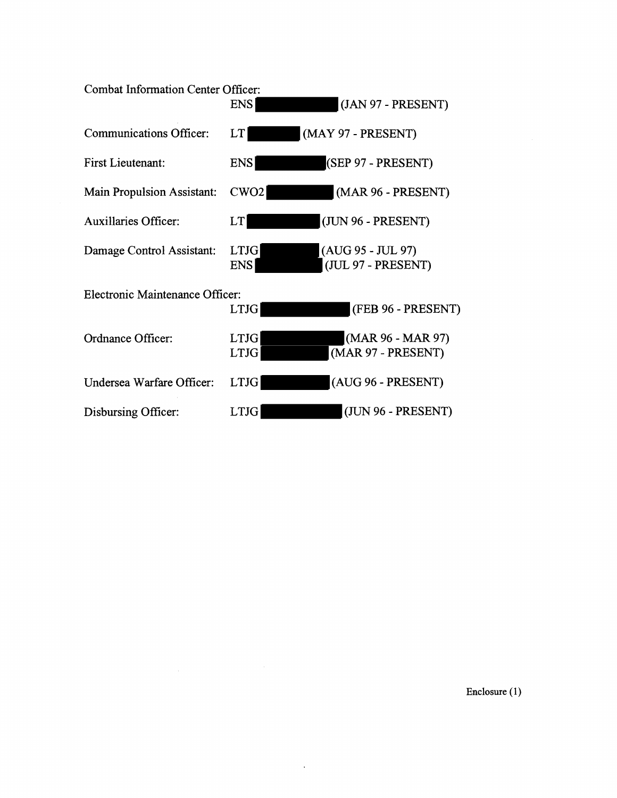| <b>Combat Information Center Officer:</b> | <b>ENS</b>                 | (JAN 97 - PRESENT)                      |
|-------------------------------------------|----------------------------|-----------------------------------------|
| <b>Communications Officer:</b>            | LT                         | (MAY 97 - PRESENT)                      |
| <b>First Lieutenant:</b>                  | <b>ENS</b>                 | (SEP 97 - PRESENT)                      |
| <b>Main Propulsion Assistant:</b>         | CWO <sub>2</sub>           | (MAR 96 - PRESENT)                      |
| <b>Auxillaries Officer:</b>               | LT                         | (JUN 96 - PRESENT)                      |
| Damage Control Assistant:                 | <b>LTJG</b><br><b>ENS</b>  | (AUG 95 - JUL 97)<br>(JUL 97 - PRESENT) |
| <b>Electronic Maintenance Officer:</b>    | <b>LTJG</b>                | (FEB 96 - PRESENT)                      |
| Ordnance Officer:                         | <b>LTJG</b><br><b>LTJG</b> | (MAR 96 - MAR 97)<br>(MAR 97 - PRESENT) |
| Undersea Warfare Officer:                 | <b>LTJG</b>                | (AUG 96 - PRESENT)                      |
| Disbursing Officer:                       | <b>LTJG</b>                | (JUN 96 - PRESENT)                      |

 $\mathcal{A}^{\mathcal{A}}$ 

**Enclosure (1)**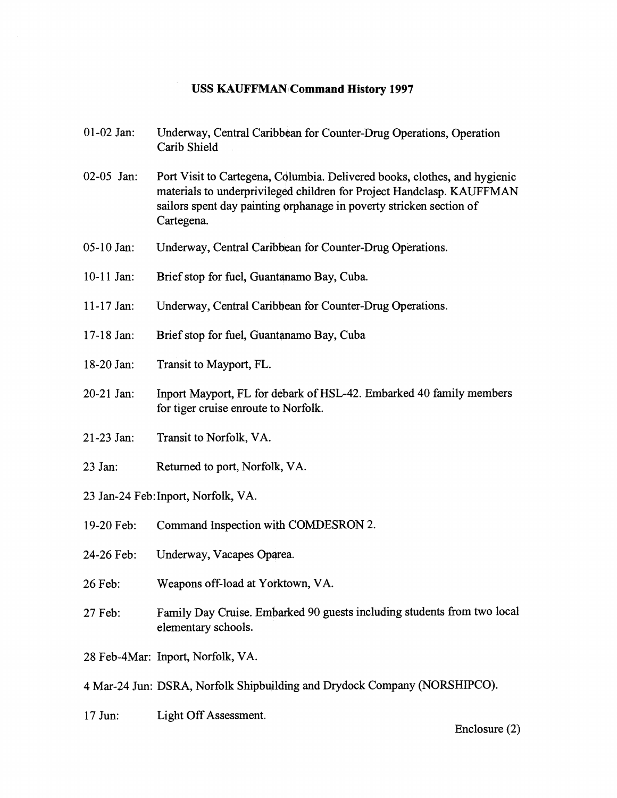## **USS KAUFFMAN Command History 1997**

- 01-02 Jan: Underway, Central Caribbean for Counter-Drug Operations, Operation Carib Shield
- 02-05 Jan: Port Visit to Cartegena, Columbia. Delivered books, clothes, and hygienic materials to underprivileged children for Project Handclasp. KAUFFMAN sailors spent day painting orphanage in poverty stricken section of Cartegena.
- 05-10 Jan: Underway, Central Caribbean for Counter-Drug Operations.
- 10-11 Jan: Brief stop for fuel, Guantanamo Bay, Cuba.
- 11-17 Jan: Underway, Central Caribbean for Counter-Drug Operations.
- 17-18 Jan: Brief stop for fuel, Guantanamo Bay, Cuba
- 18-20 Jan: Transit to Mayport, FL.
- 20-21 Jan: Inport Mayport, FL for debark of HSL-42. Embarked 40 family members for tiger cruise enroute to Norfolk.
- 2 1-23 Jan: Transit to Norfolk, VA.
- 23 Jan: Returned to port, Norfolk, VA.
- 23 Jan-24 Feb:Inport, Norfolk, VA.
- 19-20 Feb: Command Inspection with COMDESRON 2.
- 24-26 Feb: Underway, Vacapes Oparea.
- 26 Feb: Weapons off-load at Yorktown, VA.
- 27 Feb: Family Day Cruise. Embarked 90 guests including students from two local elementary schools.
- 28 Feb-4Mar: Inport, Norfolk, VA.

4 Mar-24 Jun: DSRA, Norfolk Shipbuilding and Drydock Company (NORSHIPCO).

17 Jun: Light Off Assessment.

Enclosure (2)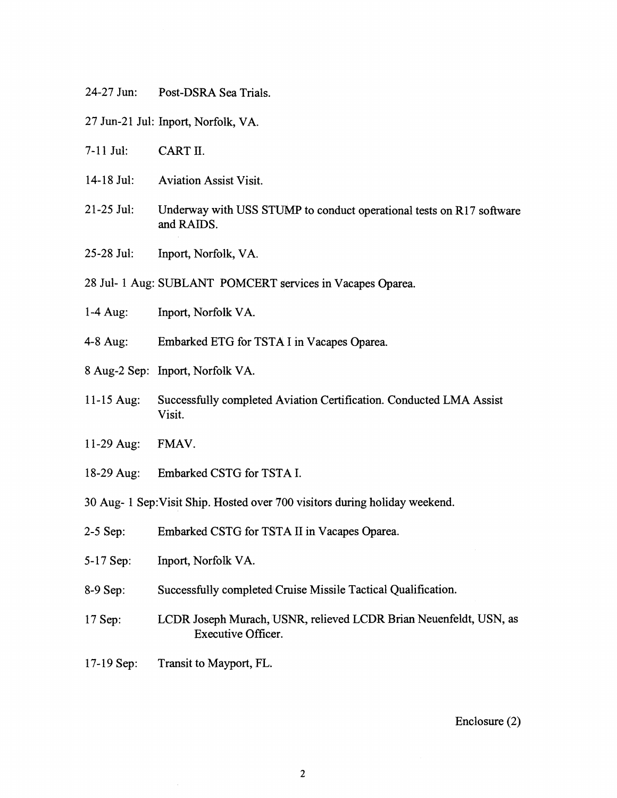24-27 Jun: Post-DSRA Sea Trials.

27 Jun-21 Jul: Inport, Norfolk, VA.

- 7-11 Jul: CART II.
- 14-18 Jul: Aviation Assist Visit.
- 21-25 Jul: Underway with USS STUMP to conduct operational tests on R17 software and RAIDS.
- 25-28 Jul: Inport, Norfolk, VA.

28 Jul- 1 Aug: SUBLANT POMCERT services in Vacapes Oparea.

- 1-4 Aug: Inport, Norfolk VA.
- 4-8 Aug: Embarked ETG for TSTA I in Vacapes Oparea.
- 8 Aug-2 Sep: Inport, Norfolk VA.
- 11-15 Aug: Successfully completed Aviation Certification. Conducted LMA Assist Visit.
- 1 1-29 Aug: FMAV.
- 18-29 Aug: Embarked CSTG for TSTA I.
- 30 Aug- 1 Sep:Visit Ship. Hosted over 700 visitors during holiday weekend.
- 2-5 Sep: Embarked CSTG for TSTA I1 in Vacapes Oparea.
- 5- 17 Sep: Inport, Norfolk VA.
- 8-9 Sep: Successhlly completed Cruise Missile Tactical Qualification.
- 17 Sep: LCDR Joseph Murach, USNR, relieved LCDR Brian Neuenfeldt, USN, as Executive Officer.
- 17-19 Sep: Transit to Mayport, FL.

### Enclosure (2)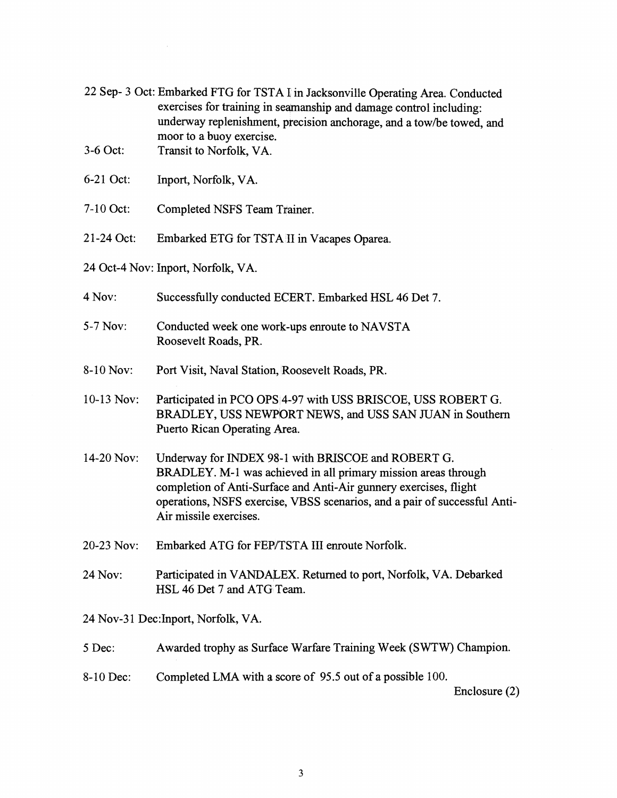|            | 22 Sep- 3 Oct: Embarked FTG for TSTA I in Jacksonville Operating Area. Conducted<br>exercises for training in seamanship and damage control including:<br>underway replenishment, precision anchorage, and a tow/be towed, and<br>moor to a buoy exercise.                                       |
|------------|--------------------------------------------------------------------------------------------------------------------------------------------------------------------------------------------------------------------------------------------------------------------------------------------------|
| 3-6 Oct:   | Transit to Norfolk, VA.                                                                                                                                                                                                                                                                          |
| 6-21 Oct:  | Inport, Norfolk, VA.                                                                                                                                                                                                                                                                             |
| 7-10 Oct:  | Completed NSFS Team Trainer.                                                                                                                                                                                                                                                                     |
| 21-24 Oct: | Embarked ETG for TSTA II in Vacapes Oparea.                                                                                                                                                                                                                                                      |
|            | 24 Oct-4 Nov: Inport, Norfolk, VA.                                                                                                                                                                                                                                                               |
| 4 Nov:     | Successfully conducted ECERT. Embarked HSL 46 Det 7.                                                                                                                                                                                                                                             |
| 5-7 Nov:   | Conducted week one work-ups enroute to NAVSTA<br>Roosevelt Roads, PR.                                                                                                                                                                                                                            |
| 8-10 Nov:  | Port Visit, Naval Station, Roosevelt Roads, PR.                                                                                                                                                                                                                                                  |
| 10-13 Nov: | Participated in PCO OPS 4-97 with USS BRISCOE, USS ROBERT G.<br>BRADLEY, USS NEWPORT NEWS, and USS SAN JUAN in Southern<br>Puerto Rican Operating Area.                                                                                                                                          |
| 14-20 Nov: | Underway for INDEX 98-1 with BRISCOE and ROBERT G.<br>BRADLEY. M-1 was achieved in all primary mission areas through<br>completion of Anti-Surface and Anti-Air gunnery exercises, flight<br>operations, NSFS exercise, VBSS scenarios, and a pair of successful Anti-<br>Air missile exercises. |
| 20-23 Nov: | Embarked ATG for FEP/TSTA III enroute Norfolk.                                                                                                                                                                                                                                                   |
| 24 Nov:    | Participated in VANDALEX. Returned to port, Norfolk, VA. Debarked<br>HSL 46 Det 7 and ATG Team.                                                                                                                                                                                                  |
|            | 24 Nov-31 Dec: Inport, Norfolk, VA.                                                                                                                                                                                                                                                              |
| 5 Dec:     | Awarded trophy as Surface Warfare Training Week (SWTW) Champion.                                                                                                                                                                                                                                 |

8-10 Dec: Completed LMA with a score of 95.5 out of a possible 100.

Enclosure (2)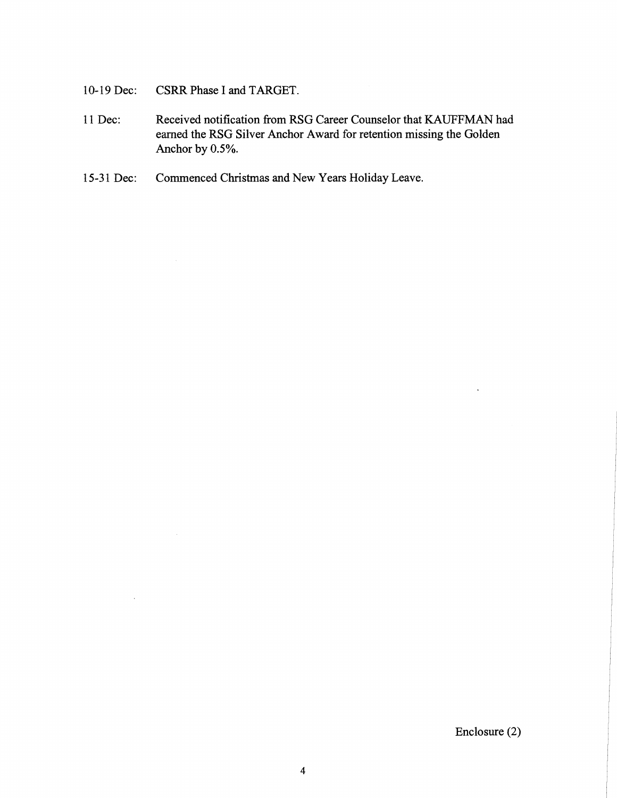10-19 Dec: CSRR Phase I and TARGET.

 $\sim$ 

 $\mathbb{R}^2$ 

- 11 Dec: Received notification from RSG Career Counselor that **KAUFFMAN** had earned the RSG Silver Anchor Award for retention missing the Golden Anchor by 0.5%.
- 15-31 Dec: Commenced Christmas and New Years Holiday Leave.

Enclosure (2)

 $\ddot{\phantom{a}}$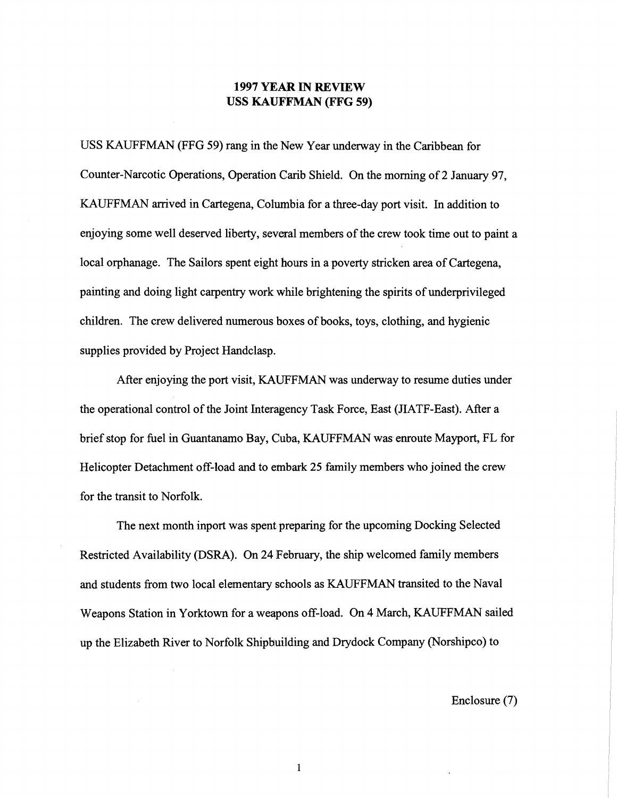# **1997 YEAR IN REVIEW USS KAUFFMAN (FFG 59)**

USS KAUFFMAN (FFG 59) rang in the New Year underway in the Caribbean for Counter-Narcotic Operations, Operation Carib Shield. On the morning of 2 January 97, KAUFFMAN arrived in Cartegena, Columbia for a three-day port visit. In addition to enjoying some well deserved liberty, several members of the crew took time out to paint a local orphanage. The Sailors spent eight hours in a poverty stricken area of Cartegena, painting and doing light carpentry work whle brightening the spirits of underprivileged children. The crew delivered numerous boxes of books, toys, clothing, and hygienic supplies provided by Project Handclasp.

After enjoying the port visit, KAWFFMAN was underway to resume duties under the operational control of the Joint Interagency Task Force, East (JIATF-East). After a brief stop for fuel in Guantanamo Bay, Cuba, KAUFFMAN was enroute Mayport, FL for Helicopter Detachment off-load and to embark 25 family members who joined the crew for the transit to Norfolk.

The next month inport was spent preparing for the upcoming Docking Selected Restricted Availability (DSRA). On 24 February, the ship welcomed family mernbers and students from two local elementary schools as KAUFFMAN transited to the Naval Weapons Station in Yorktown for a weapons off-load. On 4 March, KAUFFMAN sailed up the Elizabeth River to Norfolk Shipbuilding and Drydock Company (Norshipco) to

Enclosure (7)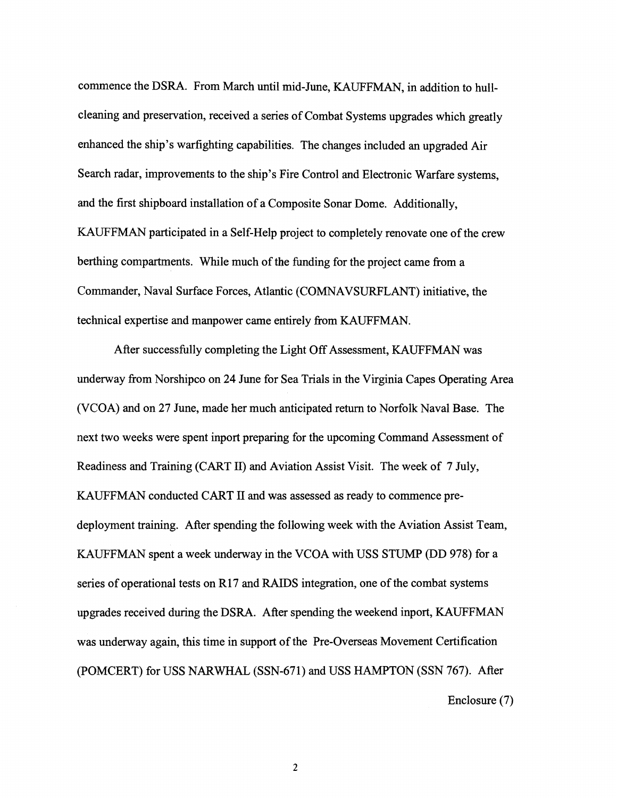commence the DSRA. From March until mid-June, KAUFFMAN, in addition to hullcleaning and preservation, received a series of Combat Systems upgrades which greatly enhanced the ship's warfighting capabilities. The changes included an upgraded Air Search radar, improvements to the ship's Fire Control and Electronic Warfare systems, and the first shipboard installation of a Composite Sonar Dome. Additionally, KAUFFMAN participated in a Self-Help project to completely renovate one of the crew berthing compartments. While much of the funding for the project came from a Commander, Naval Surface Forces, Atlantic (COMNAVSURFLANT) initiative, the technical expertise and manpower came eptirely from KAUFFMAN.

After successfully completing the Light Off Assessment, KAUFFMAN was underway from Norshipco on 24 June for Sea Trials in the Virginia Capes Operating Area (VCOA) and on 27 June, made her much anticipated return to Norfolk Naval Base. The next two weeks were spent inport preparihg for the upcoming Command Assessment of Readiness and Training (CART 11) and &viation Assist Visit. The week of 7 July, KAUFFMAN conducted CART I1 and was assessed as ready to commence predeployment training. After spending the following week with the Aviation Assist Team, KAUFFMAN spent a week underway in the VCOA with USS STUMP (DD 978) for a series of operational tests on  $R17$  and RAIDS integration, one of the combat systems upgrades received during the DSRA. After spending the weekend inport, KAUFFMAN was underway again, this time in support of the Pre-Overseas Movement Certification (POMCERT) for USS NARWHAL (SSN-671) and USS HAMPTON (SSN 767). After Enclosure (7)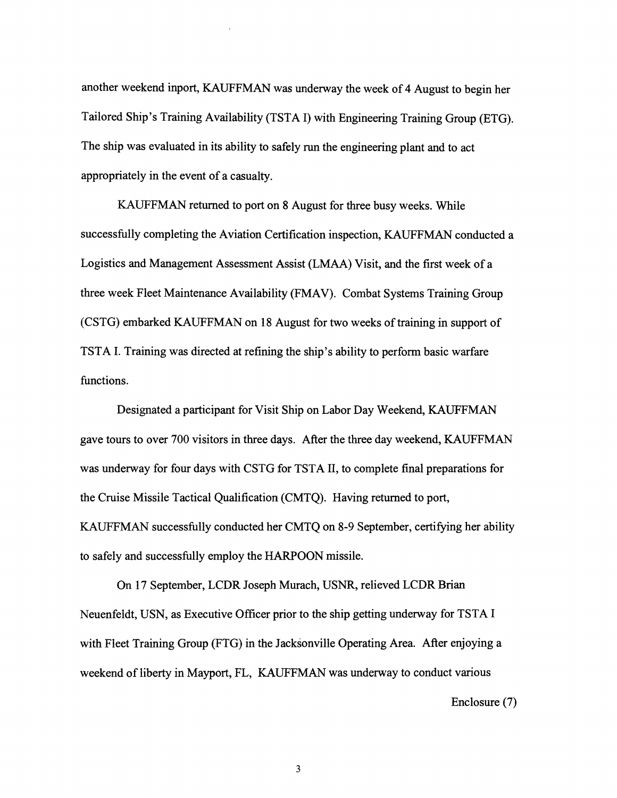another weekend inport, KAUFFMAN was underway the week of 4 August to begin her Tailored Ship's Training Availability (TSTA I) with Engineering Training Group (ETG). The ship was evaluated in its ability to safely run the engineering plant and to act appropriately in the event of a casualty.

KAUFFMAN returned to port on 8 August for three busy weeks. While successfully completing the Aviation Certification inspection, KAUFFMAN conducted a Logistics and Management Assessment Assist (LMAA) Visit, and the first week of a three week Fleet Maintenance Availability (FMAV). Combat Systems Training Group (CSTG) embarked KALFFMAN on **18** August for two weeks of training in support of TSTA I. Training was directed at refining the ship's ability to perform basic warfare functions.

Designated a participant for Visit Ship on Labor Day Weekend, KAUFFMAN gave tours to over **700** visitors in three days. After the three day weekend, KAUFFMAN was underway for four days with CSTG for TSTA 11, to complete final preparations for the Cruise Missile Tactical Qualification (CMTQ). Having returned to port, KAUFFMAN successfully conducted her CMTQ on 8-9 September, certifying her ability to safely and successfully employ the HARPOON missile.

On **17** September, LCDR Joseph Murach, USNR, relieved LCDR Brian Neuenfeldt, USN, as Executive Officer prior to the ship getting underway for TSTA I with Fleet Training Group (FTG) in the Jacksonville Operating Area. After enjoying a weekend of liberty in Mayport, FL, KAUFFMAN was underway to conduct various

Enclosure (7)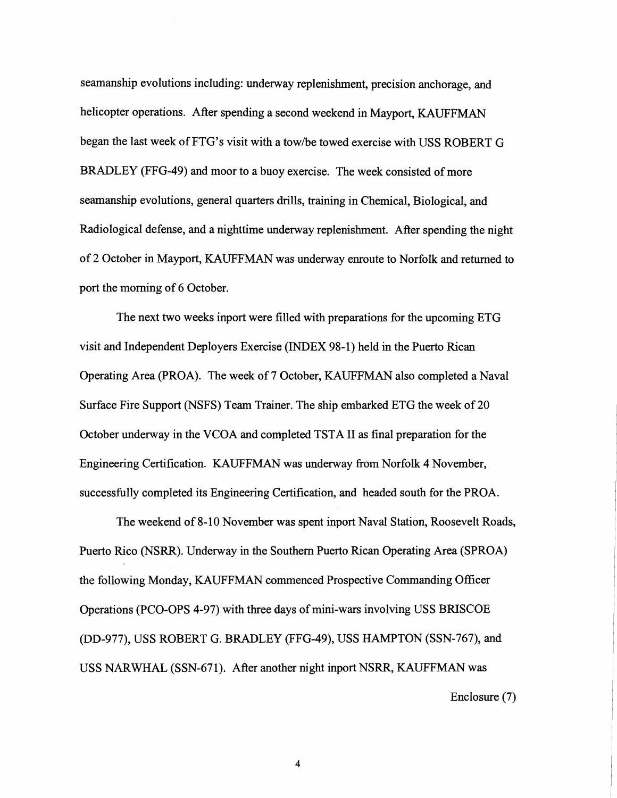seamanship evolutions including: underway replenishment, precision anchorage, and helicopter operations. After spending a second weekend in Mayport, KAUFFMAN began the last week of FTG's visit with a tow/be towed exercise with USS ROBERT G BRADLEY (FFG-49) and moor to a buoy exercise. The week consisted of more seamanship evolutions, general quarters drills, training in Chemical, Biological, and Radiological defense, and a nighttime underway replenishment. After spending the night of 2 October in Mayport, KAUFFMAN was underway enroute to Norfolk and returned to port the morning of 6 October.

The next two weeks inport were filled with preparations for the upcoming ETG visit and Independent Deployers Exercise (INDEX 98-1) held in the Puerto Rican Operating Area (PROA). The week of 7 October, KAUFFMAN also completed a Naval Surface Fire Support (NSFS) Team Trainer. The ship embarked ETG the week of 20 October underway in the VCOA and completed TSTA 11 as final preparation for the Engineering Certification. KAUFFMAN was underway from Norfolk 4 November, successfully completed its Engineering Certification, and headed south for the PROA.

The weekend of 8-10 November was spent inport Naval Station, Roosevelt Roads, Puerto Rico (NSRR). Underway in the Southern Puerto Rican Operating Area (SPROA) the following Monday, KAUFFMAN commenced Prospective Commanding Officer Operations (PCO-OPS 4-97) with three days of mini-wars involving USS BRISCOE (DD-977), USS ROBERT G. BRADLEY (FFG-49), USS HAMPTON (SSN-767), and USS NARWHAL (SSN-671). After another night inport NSRR, KAUFFMAN was Enclosure (7)